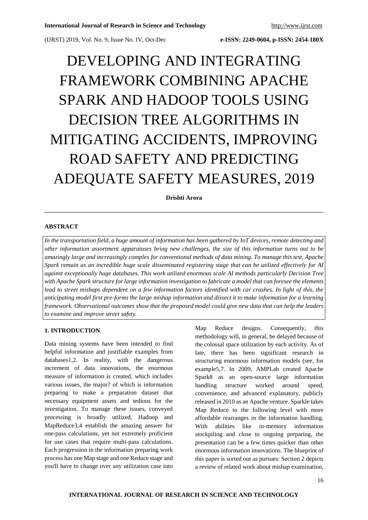(IJRST) 2019, Vol. No. 9, Issue No. IV, Oct-Dec **e-ISSN: 2249-0604, p-ISSN: 2454-180X**

# DEVELOPING AND INTEGRATING FRAMEWORK COMBINING APACHE SPARK AND HADOOP TOOLS USING DECISION TREE ALGORITHMS IN MITIGATING ACCIDENTS, IMPROVING ROAD SAFETY AND PREDICTING ADEQUATE SAFETY MEASURES, 2019

**Drishti Arora**

#### **ABSTRACT**

In the transportation field, a huge amount of information has been gathered by IoT devices, remote detecting and *other information assortment apparatuses bring new challenges, the size of this information turns out to be amazingly large and increasingly complex for conventional methods of data mining. To manage this test, Apache* Spark remain as an incredible huge scale disseminated registering stage that can be utilized effectively for AI *against exceptionally huge databases. This work utilized enormous scale AI methods particularly Decision Tree* with Apache Spark structure for large information investigation to fabricate a model that can foresee the elements lead to street mishaps dependent on a few information factors identified with car crashes. In light of this, the anticipating model first pre-forms the large mishap information and dissect it to make information for a learning framework. Observational outcomes show that the proposed model could give new data that can help the leaders *to examine and improve street safety.*

#### **1. INTRODUCTION**

Data mining systems have been intended to find helpful information and justifiable examples from databases1,2. In reality, with the dangerous increment of data innovations, the enormous measure of information is created, which includes various issues, the major? of which is information preparing to make a preparation dataset that necessary equipment assets and tedious for the investigation. To manage these issues, conveyed processing is broadly utilized, Hadoop and MapReduce3,4 establish the amazing answer for one-pass calculations, yet not extremely proficient for use cases that require multi-pass calculations. Each progression in the information preparing work process has one Map stage and one Reduce stage and you'll have to change over any utilization case into

Map Reduce designs. Consequently, this methodology will, in general, be delayed because of the colossal space utilization by each activity. As of late, there has been significant research in structuring enormous information models (see, for example5,7. In 2009, AMPLab created Apache Spark8 as an open-source large information handling structure worked around speed, convenience, and advanced explanatory, publicly released in 2010 as an Apache venture. Sparkle takes Map Reduce to the following level with more affordable rearranges in the information handling. With abilities like in-memory information stockpiling and close to ongoing preparing, the presentation can be a few times quicker than other enormous information innovations. The blueprint of this paper is sorted out as pursues: Section 2 depicts a review of related work about mishap examination,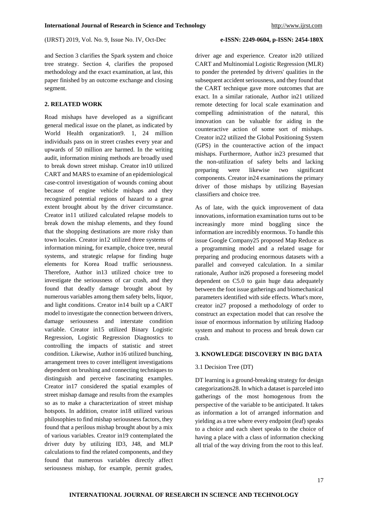(IJRST) 2019, Vol. No. 9, Issue No. IV, Oct-Dec **e-ISSN: 2249-0604, p-ISSN: 2454-180X**

and Section 3 clarifies the Spark system and choice tree strategy. Section 4, clarifies the proposed methodology and the exact examination, at last, this paper finished by an outcome exchange and closing segment.

### **2. RELATED WORK**

Road mishaps have developed as a significant general medical issue on the planet, as indicated by World Health organization9. 1, 24 million individuals pass on in street crashes every year and upwards of 50 million are harmed. In the writing audit, information mining methods are broadly used to break down street mishap. Creator in10 utilized CART and MARS to examine of an epidemiological case-control investigation of wounds coming about because of engine vehicle mishaps and they recognized potential regions of hazard to a great extent brought about by the driver circumstance. Creator in11 utilized calculated relapse models to break down the mishap elements, and they found that the shopping destinations are more risky than town locales. Creator in12 utilized three systems of information mining, for example, choice tree, neural systems, and strategic relapse for finding huge elements for Korea Road traffic seriousness. Therefore, Author in13 utilized choice tree to investigate the seriousness of car crash, and they found that deadly damage brought about by numerous variables among them safety belts, liquor, and light conditions. Creator in14 built up a CART model to investigate the connection between drivers, damage seriousness and interstate condition variable. Creator in15 utilized Binary Logistic Regression, Logistic Regression Diagnostics to controlling the impacts of statistic and street condition. Likewise, Author in16 utilized bunching, arrangement trees to cover intelligent investigations dependent on brushing and connecting techniques to distinguish and perceive fascinating examples. Creator in17 considered the spatial examples of street mishap damage and results from the examples so as to make a characterization of street mishap hotspots. In addition, creator in18 utilized various philosophies to find mishap seriousness factors, they found that a perilous mishap brought about by a mix of various variables. Creator in19 contemplated the driver duty by utilizing ID3, J48, and MLP calculations to find the related components, and they found that numerous variables directly affect seriousness mishap, for example, permit grades,

driver age and experience. Creator in20 utilized CART and Multinomial Logistic Regression (MLR) to ponder the pretended by drivers' qualities in the subsequent accident seriousness, and they found that the CART technique gave more outcomes that are exact. In a similar rationale, Author in21 utilized remote detecting for local scale examination and compelling administration of the natural, this innovation can be valuable for aiding in the counteractive action of some sort of mishaps. Creator in22 utilized the Global Positioning System (GPS) in the counteractive action of the impact mishaps. Furthermore, Author in23 presumed that the non-utilization of safety belts and lacking preparing were likewise two significant components. Creator in24 examinations the primary driver of those mishaps by utilizing Bayesian classifiers and choice tree.

As of late, with the quick improvement of data innovations, information examination turns out to be increasingly more mind boggling since the information are incredibly enormous. To handle this issue Google Company25 proposed Map Reduce as a programming model and a related usage for preparing and producing enormous datasets with a parallel and conveyed calculation. In a similar rationale, Author in26 proposed a foreseeing model dependent on C5.0 to gain huge data adequately between the foot issue gatherings and biomechanical parameters identified with side effects. What's more, creator in27 proposed a methodology of order to construct an expectation model that can resolve the issue of enormous information by utilizing Hadoop system and mahout to process and break down car crash.

#### **3. KNOWLEDGE DISCOVERY IN BIG DATA**

#### 3.1 Decision Tree (DT)

DT learning is a ground-breaking strategy for design categorizations28. In which a dataset is parceled into gatherings of the most homogenous from the perspective of the variable to be anticipated. It takes as information a lot of arranged information and yielding as a tree where every endpoint (leaf) speaks to a choice and each sheet speaks to the choice of having a place with a class of information checking all trial of the way driving from the root to this leaf.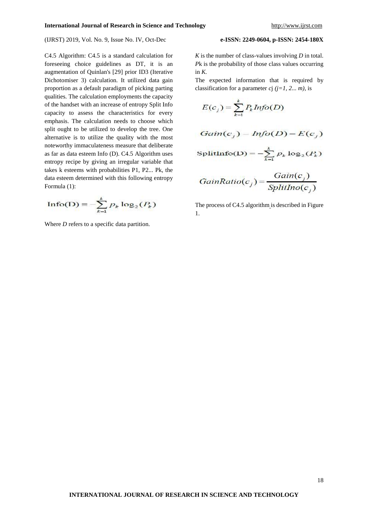#### (IJRST) 2019, Vol. No. 9, Issue No. IV, Oct-Dec **e-ISSN: 2249-0604, p-ISSN: 2454-180X**

C4.5 Algorithm: C4.5 is a standard calculation for foreseeing choice guidelines as DT, it is an augmentation of Quinlan's [29] prior ID3 (Iterative Dichotomiser 3) calculation. It utilized data gain proportion as a default paradigm of picking parting qualities. The calculation employments the capacity of the handset with an increase of entropy Split Info capacity to assess the characteristics for every emphasis. The calculation needs to choose which split ought to be utilized to develop the tree. One alternative is to utilize the quality with the most noteworthy immaculateness measure that deliberate as far as data esteem Info (D). C4.5 Algorithm uses entropy recipe by giving an irregular variable that takes k esteems with probabilities P1, P2... Pk, the data esteem determined with this following entropy Formula (1):

$$
\text{Info(D)} = -\sum_{k=1}^{k} p_k \log_2(P_k)
$$

Where *D* refers to a specific data partition.

*K* is the number of class-values involving *D* in total. *P*k is the probability of those class values occurring in  $K$ .

The expected information that is required by classification for a parameter *c*j  $(j=1, 2... m)$ , is

$$
E(c_j) = \sum_{k=1}^{k} P_k Info(D)
$$
  
Gain(c<sub>j</sub>) - Info(D) - E(c<sub>j</sub>)  
SplitInfo(D) = - $\sum_{k=1}^{k} p_k \log_2(P_k)$   
GainRatio(c<sub>j</sub>) =  $\frac{Gain(c_j)}{SplitIno(c_j)}$ 

The process of C4.5 algorithm is described in Figure 1.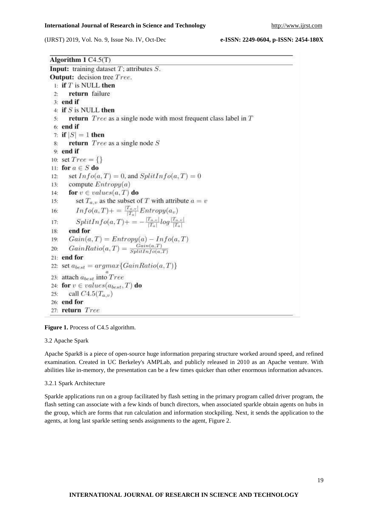(IJRST) 2019, Vol. No. 9, Issue No. IV, Oct-Dec **e-ISSN: 2249-0604, p-ISSN: 2454-180X**

Algorithm  $1 C4.5(T)$ **Input:** training dataset  $T$ ; attributes  $S$ . **Output:** decision tree Tree. 1: if  $T$  is NULL then return failure  $2.5$  $3:$  end if 4: if  $S$  is NULL then return  $Tree$  as a single node with most frequent class label in  $T$  $5:$  $6:$  end if 7: if  $|S|=1$  then return  $Tree$  as a single node  $S$ 8:  $9:$  end if 10: set  $Tree = \{\}$ 11: for  $a \in S$  do set  $Info(a, T) = 0$ , and  $SplitInfo(a, T) = 0$  $12:$ compute  $Entropy(a)$  $13:$ for  $v \in values(a, T)$  do  $14:$ set  $T_{a,v}$  as the subset of T with attribute  $a = v$  $15:$  $Info(a, T) += \frac{|T_{a,v}|}{|T_a|} Entropy(a_v)$ <br>  $SplitInfo(a, T) += -\frac{|T_{a,v}|}{|T_a|} log \frac{|T_{a,v}|}{|T_a|}$ 16:  $17:$ end for 18:  $Gain(a, T) = Entropy(a) - Info(a, T)$ <br>  $GainRatio(a, T) = \frac{Gain(a, T)}{SplitInfo(a, T)}$ 19:  $20-$ 21: end for 22: set  $a_{best} = argmax\{GainRatio(a, T)\}\$ 23: attach  $a_{best}$  into  $Tree$ 24: for  $v \in values(a_{best}, T)$  do  $25:$ call  $C4.5(T_{a,v})$ 26: end for 27: return Tree

**Figure 1.** Process of C4.5 algorithm.

#### 3.2 Apache Spark

Apache Spark8 is a piece of open-source huge information preparing structure worked around speed, and refined examination. Created in UC Berkeley's AMPLab, and publicly released in 2010 as an Apache venture. With abilities like in-memory, the presentation can be a few times quicker than other enormous information advances.

#### 3.2.1 Spark Architecture

Sparkle applications run on a group facilitated by flash setting in the primary program called driver program, the flash setting can associate with a few kinds of bunch directors, when associated sparkle obtain agents on hubs in the group, which are forms that run calculation and information stockpiling. Next, it sends the application to the agents, at long last sparkle setting sends assignments to the agent, Figure 2.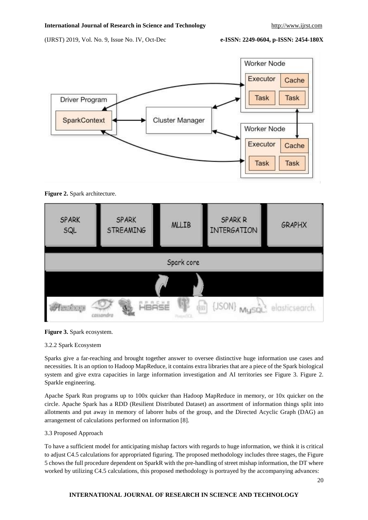(IJRST) 2019, Vol. No. 9, Issue No. IV, Oct-Dec **e-ISSN: 2249-0604, p-ISSN: 2454-180X**





| <b>SPARK</b><br>SQL | <b>SPARK</b><br><b>STREAMING</b> |       | <b>MLLIB</b> | <b>SPARK R</b><br><b>INTERGATION</b> | <b>GRAPHX</b>  |  |  |  |  |
|---------------------|----------------------------------|-------|--------------|--------------------------------------|----------------|--|--|--|--|
| Spark core          |                                  |       |              |                                      |                |  |  |  |  |
|                     |                                  |       |              |                                      |                |  |  |  |  |
| $H$ izialajaja      | cassandr                         | HBASE | ģg)          | $\{$ JSON\} MysqL                    | elasticsearch. |  |  |  |  |



### 3.2.2 Spark Ecosystem

Sparks give a far-reaching and brought together answer to oversee distinctive huge information use cases and necessities. It is an option to Hadoop MapReduce, it contains extra libraries that are a piece of the Spark biological system and give extra capacities in large information investigation and AI territories see Figure 3. Figure 2. Sparkle engineering.

Apache Spark Run programs up to 100x quicker than Hadoop MapReduce in memory, or 10x quicker on the circle. Apache Spark has a RDD (Resilient Distributed Dataset) an assortment of information things split into allotments and put away in memory of laborer hubs of the group, and the Directed Acyclic Graph (DAG) an arrangement of calculations performed on information [8].

### 3.3 Proposed Approach

To have a sufficient model for anticipating mishap factors with regards to huge information, we think it is critical to adjust C4.5 calculations for appropriated figuring. The proposed methodology includes three stages, the Figure 5 chows the full procedure dependent on SparkR with the pre-handling of street mishap information, the DT where worked by utilizing C4.5 calculations, this proposed methodology is portrayed by the accompanying advances:

### **INTERNATIONAL JOURNAL OF RESEARCH IN SCIENCE AND TECHNOLOGY**

20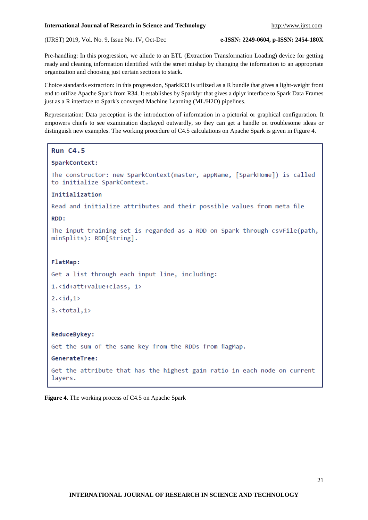(IJRST) 2019, Vol. No. 9, Issue No. IV, Oct-Dec **e-ISSN: 2249-0604, p-ISSN: 2454-180X**

Pre-handling: In this progression, we allude to an ETL (Extraction Transformation Loading) device for getting ready and cleaning information identified with the street mishap by changing the information to an appropriate organization and choosing just certain sections to stack.

Choice standards extraction: In this progression, SparkR33 is utilized as a R bundle that gives a light-weight front end to utilize Apache Spark from R34. It establishes by Sparklyr that gives a dplyr interface to Spark Data Frames just as a R interface to Spark's conveyed Machine Learning (ML/H2O) pipelines.

Representation: Data perception is the introduction of information in a pictorial or graphical configuration. It empowers chiefs to see examination displayed outwardly, so they can get a handle on troublesome ideas or distinguish new examples. The working procedure of C4.5 calculations on Apache Spark is given in Figure 4.

#### **Run C4.5**

#### SparkContext:

The constructor: new SparkContext(master, appName, [SparkHome]) is called to initialize SparkContext.

#### Initialization

Read and initialize attributes and their possible values from meta file

#### RDD:

The input training set is regarded as a RDD on Spark through csvFile(path, minSplits): RDD[String].

### FlatMap:

Get a list through each input line, including:

```
1.<id+att+value+class, 1>
```
 $2.\langle id, 1 \rangle$ 

 $3. <  $\tau$$ 

## ReduceBykey:

Get the sum of the same key from the RDDs from flagMap.

GenerateTree:

Get the attribute that has the highest gain ratio in each node on current layers.

**Figure 4.** The working process of C4.5 on Apache Spark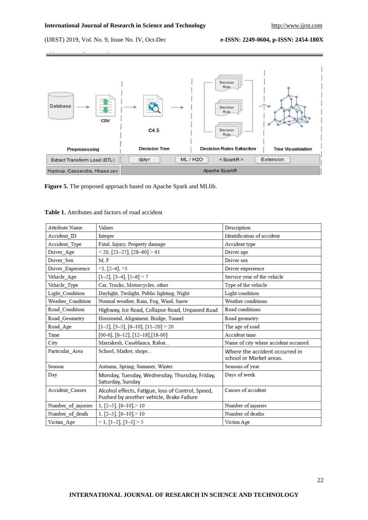(IJRST) 2019, Vol. No. 9, Issue No. IV, Oct-Dec **e-ISSN: 2249-0604, p-ISSN: 2454-180X**



**Figure 5.** The proposed approach based on Apache Spark and MLlib.

| <b>Attribute Name</b>  | Values                                                                                        | Description                                               |
|------------------------|-----------------------------------------------------------------------------------------------|-----------------------------------------------------------|
| Accident ID            | Integer                                                                                       | Identification of accident                                |
| Accident_Type          | Fatal, Injury, Property damage                                                                | Accident type                                             |
| Driver_Age             | $<$ 20, [21-27], [28-60] $>$ 61                                                               | Driver age                                                |
| Driver Sex             | M.F                                                                                           | Driver sex                                                |
| Driver_Experience      | $\leq$ 1, [2–4], $\geq$ 5                                                                     | Driver experience                                         |
| Vehicle Age            | $[1-2]$ , $[3-4]$ , $[5-6] > 7$                                                               | Service year of the vehicle                               |
| Vehicle Type           | Car, Trucks, Motorcycles, other                                                               | Type of the vehicle                                       |
| Light Condition        | Daylight, Twilight, Public lighting, Night                                                    | Light condition                                           |
| Weather_Condition      | Normal weather, Rain, Fog, Wind, Snow                                                         | <b>Weather conditions</b>                                 |
| Road_Condition         | Highway, Ice Road, Collapse Road, Unpaved Road                                                | Road conditions                                           |
| Road Geometry          | Horizontal, Alignment, Bridge, Tunnel                                                         | Road geometry                                             |
| Road Age               | $[1-2]$ , $[3-5]$ , $[6-10]$ , $[11-20] > 20$                                                 | The age of road                                           |
| Time                   | $[00-6]$ , $[6-12]$ , $[12-18]$ , $[18-00]$                                                   | <b>Accident time</b>                                      |
| City                   | Marrakesh, Casablanca, Rabat                                                                  | Name of city where accident occurred.                     |
| Particular Area        | School, Market, shops                                                                         | Where the accident occurred in<br>school or Market areas. |
| Season                 | Autumn, Spring, Summer, Winter                                                                | Seasons of year                                           |
| Day                    | Monday, Tuesday, Wednesday, Thursday, Friday,<br>Saturday, Sunday                             | Days of week                                              |
| <b>Accident Causes</b> | Alcohol effects, Fatigue, loss of Control, Speed,<br>Pushed by another vehicle, Brake Failure | Causes of accident                                        |
| Number of injuries     | 1, $[2-5]$ , $[6-10]$ , $>10$                                                                 | Number of injuries                                        |
| Number of death        | $1, [2-5], [6-10]>10$                                                                         | Number of deaths                                          |
| Victim Age             | $\leq$ 1, [1-2], [3-5] $>$ 5                                                                  | Victim Age                                                |

#### **Table 1.** Attributes and factors of road accident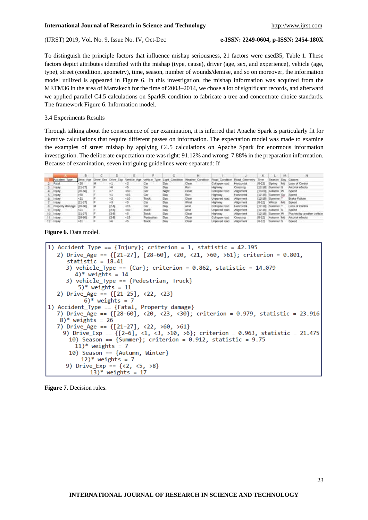(IJRST) 2019, Vol. No. 9, Issue No. IV, Oct-Dec **e-ISSN: 2249-0604, p-ISSN: 2454-180X**

To distinguish the principle factors that influence mishap seriousness, 21 factors were used35, Table 1. These factors depict attributes identified with the mishap (type, cause), driver (age, sex, and experience), vehicle (age, type), street (condition, geometry), time, season, number of wounds/demise, and so on moreover, the information model utilized is appeared in Figure 6. In this investigation, the mishap information was acquired from the METM36 in the area of Marrakech for the time of 2003–2014, we chose a lot of significant records, and afterward we applied parallel C4.5 calculations on SparkR condition to fabricate a tree and concentrate choice standards. The framework Figure 6. Information model.

#### 3.4 Experiments Results

Through talking about the consequence of our examination, it is inferred that Apache Spark is particularly fit for iterative calculations that require different passes on information. The expectation model was made to examine the examples of street mishap by applying C4.5 calculations on Apache Spark for enormous information investigation. The deliberate expectation rate was right: 91.12% and wrong: 7.88% in the preparation information. Because of examination, seven intriguing guidelines were separated: If

|                 |                 | в       |                     |    |                                                                                                                                                                            |            |                                                    |                   |                |                   |             |               | M  |                           |
|-----------------|-----------------|---------|---------------------|----|----------------------------------------------------------------------------------------------------------------------------------------------------------------------------|------------|----------------------------------------------------|-------------------|----------------|-------------------|-------------|---------------|----|---------------------------|
|                 | Accident Type   |         | Drive Age Drive Sex |    |                                                                                                                                                                            |            | Drive Exp Vehicle Age vehicle Type Light Condition | Weather Condition | Road Condition | Road Geomet       | Tirre       | Season        |    | Day, Causes.              |
|                 | Fatal           |         |                     |    |                                                                                                                                                                            | Car        |                                                    | Clear             | Callage mad    | <b>Horizordal</b> | 16-121      | Spring        | Mt | Loss of Control           |
|                 | <b>TRIUTY</b>   | (21-27) |                     |    |                                                                                                                                                                            |            |                                                    |                   | Highway        | Crossing          | 已2-181      | Summer 5      |    | Alcohol edects            |
|                 | treary          | 28-60   |                     |    | €lű                                                                                                                                                                        | Car        | Not                                                | Clear             | Collapse road  | Alignment         | 118-001     | Autumn W      |    | Szeed                     |
|                 | <b>Injony</b>   |         |                     |    | <15                                                                                                                                                                        | Car        |                                                    | Rom               | <b>Highway</b> | Holizontal        | T12-181     | Summer-Sa     |    | <b>Goved</b>              |
|                 | <b>TRIGEY</b>   |         |                     |    | <t0< td=""><td>Truck</td><td>Da</td><td>Clear</td><td>Unpaved road</td><td>Alignment</td><td>112-189</td><td><b>Summer</b></td><td></td><td><b>Boke Fallure</b></td></t0<> | Truck      | Da                                                 | Clear             | Unpaved road   | Alignment         | 112-189     | <b>Summer</b> |    | <b>Boke Fallure</b>       |
|                 | treary          | (21-27) |                     |    |                                                                                                                                                                            | Car        | Dœ                                                 | Wind              | Highway        | Allgrament        | $16 - 121$  | Winter.       |    | <b>Speed</b>              |
|                 | Froperty damage | 28-60   |                     | 乏明 | < 15                                                                                                                                                                       | Car        | Ūв                                                 | Wind              | Collapse road  | <b>Horizontal</b> | 112-181     | :Summer T     |    | Loss of Control           |
|                 | <b>Insury</b>   |         |                     | 位制 | < 10                                                                                                                                                                       | Truck      | <b>Day</b>                                         | WIND              | Unpaved road.  | Alignment         | EL2-189     | Autumn 5      |    | Speed                     |
| 10 <sup>°</sup> | <b>Injury</b>   | (21-27) |                     | 设号 |                                                                                                                                                                            | Thick      | <b>Day</b>                                         | Clear             | <b>Highway</b> | Alignment         | F12-180     | :Summer W     |    | Pushed by another vehicle |
|                 | <b>Injury</b>   | 28-60)  |                     | 设引 | < 15                                                                                                                                                                       | Pedestrian | <b>Day</b>                                         | Clear             | Colleges road  | Crossing          | $16 - 125$  | Autumn Md     |    | Alcohol effects           |
|                 | <b>Ineanv</b>   |         |                     |    |                                                                                                                                                                            | Triatik    |                                                    | Clear             | Unpaved road   | <b>Alignment</b>  | $16 - 1.21$ | Summer'S      |    | Szeed                     |

**Figure 6.** Data model.

```
1) Accident_Type == \{Injury\}; criterion = 1, statistic = 42.195
   2) Drive_Age == \{ [21-27], [28-60], \langle 20, \langle 21, \rangle 60, \rangle 61 \}; criterion = 0.801,
      statistic = 18.413) vehicle_Type == {Car}; criterion = 0.862, statistic = 14.079
         4)* weights = 14
      3) vehicle Type == {Pedestrian, Truck}
          5<sup>*</sup> weights = 11
   2) Drive_Age == \{[21-25], \langle 22, \langle 23 \rangle\}6<sup>*</sup> weights = 7
1) Accident_Type == {Fatal, Property damage}
   7) Drive_Age == \{ [28-60], \langle 28, \langle 38 \rangle; criterion = 0.979, statistic = 23.916
    8<sup>*</sup> weights = 26
   7) Drive_Age == {[21-27], <22, >60, >61}
     9) Drive_Exp == {[2-6], <1, <3, >10, >6}; criterion = 0.963, statistic = 21.475
       10) Season == {Summer}; criterion = 0.912, statistic = 9.75
         11<sup>*</sup> weights = 7
       10) Season == {Autumn, Winter}
           12)* weights = 79) Drive_Exp == \{\langle 2, \langle 5, \rangle\}13)* weights = 17
```
**Figure 7.** Decision rules.